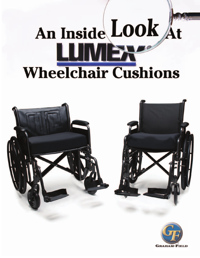# An Inside Look At **LUMBR Wheelchair Cushions**



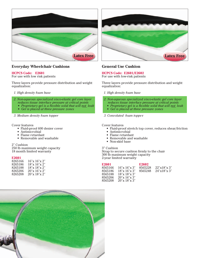

# **Everyday Wheelchair Cushions**

# **HCPCS Code: E2601**

For use with low risk patients

Three layers provide pressure distribution and weight equalization:

- *1. High density foam base*
- *2. Non-aqueous specialized visco-elastic gel core layer reduces tissue interface pressure at critical points* 
	- *Proprietary gel is a flexible solid that will not leak*
	- *Gel is placed at three pressure zones*
- *3. Medium density foam topper*

## Cover features

- Fluid-proof 600 denier cover
- Antimicrobial
- Flame retardant
- Removable and washable

#### 2" Cushion

250 lb maximum weight capacity 18 month limited warranty

#### **E2601**

| 8265166 | 16"x 16"x 2"        |
|---------|---------------------|
| 8265186 | 18"x 16"x 2"        |
| 8265188 | 18"x 18"x 2"        |
| 8265206 | $20''x\,16''x\,2''$ |
| 8265208 | 20"x 18"x 2"        |



# **General Use Cushion**

# **HCPCS Code: E2601/E2602**

For use with low-risk patients

Three layers provide pressure distribution and weight equalization:

#### *1. High density foam base*

- *2. Non-aqueous specialized visco-elastic gel core layer* 
	- *reduces tissue interface pressure at critical points*
- *Proprietary gel is a flexible solid that will not leak*
- *Gel is placed at three pressure zones*

# *3. Convoluted foam toppe*r

#### Cover features

- Fluid-proof stretch top cover, reduces shear/friction
- Antimicrobial
- Flame retardant
- Removable and washable
- Non-skid base

#### 3" Cushion

Strap to secure cushion firmly to the chair 300 lb maximum weight capacity 2-year limited warranty

| E2601   |                         | <b>E2602</b> |                |
|---------|-------------------------|--------------|----------------|
| 8565166 | $16"$ x $16"$ x $3"$    | 8565228      | $22$ "x18"x 3" |
| 8565186 | 18"x 16"x 3"            | 8565248      | 24"x18"x3"     |
| 8565188 | 18"x 18"x 3"            |              |                |
| 8565206 | $20''$ x $16''$ x $3''$ |              |                |
| 8565208 | 20''x 18''x 3''         |              |                |

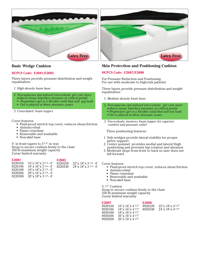

# **Basic Wedge Cushion**

# **HCPCS Code: E2601/E2602**

Three layers provide pressure distribution and weight equalization:

- *1. High density foam base*
- *2. Non-aqueous specialized visco-elastic gel core layer reduces tissue interface pressure at critical points* 
	- *Proprietary gel is a flexible solid that will not leak*
	- *Gel is placed at three pressure zones*

*3. Convoluted foam toppe*r

Cover features

- Fluid-proof stretch top cover, reduces shear/friction
- Antimicrobial
- Flame retardant
- Removable and washable
- Non-skid base

4" in front tapers to 31/4" in rear Strap to secure cushion firmly to the chair 350 lb maximum weight capacity 2-year limited warranty

| E2601<br>8220166<br>8220186<br>8220188<br>8220206 | $16''$ x $16''$ x $31/4 - 4''$<br>$18"$ x $16"$ x $31/4 - 4"$<br>$18"x 18"x 31/4 - 4"$<br>$20''$ x $16''$ x $31/4 - 4''$ | E2602<br>8220228<br>8220248 | $22''$ x $18''$ x $3^{1/4}$ - 4"<br>$24''$ x $18''$ x $31/4 - 4''$ |
|---------------------------------------------------|--------------------------------------------------------------------------------------------------------------------------|-----------------------------|--------------------------------------------------------------------|
| 8220208                                           | $20''$ x $18''$ x $31/4 - 4''$                                                                                           |                             |                                                                    |

# **Skin Protection and Positioning Cushion**

# **HCPCS Code: E2607/E2608**

For Pressure Reduction and Positioning For use with moderate to high-risk patients

Three layers provide pressure distribution and weight equalization:

- *1. Medium density foam base*
- *2. Non-aqueous specialized visco-elastic gel core layer*
- *reduces tissue interface pressure at critical points • Proprietary gel is a flexible solid that will not leak*
- *Gel is placed at three pressure zones*
- *3. Visco-elastic memory foam topper for superior comfort and pressure relief*

Three positioning features:

- 1. Side wedges provide lateral stability for proper pelvic support
- 2. Center pommel provides medial and lateral thigh positioning and prevents hip rotation and abrasion
- 3. Moderate slope from front to back so user does not fall forward

Cover features

- Fluid-proof stretch top cover, reduces shear/friction
- Antimicrobial
- Flame retardant
- Removable and washable
- Non-skid base

4 1/2" Cushion

Strap to secure cushion firmly to the chair 350 lb maximum weight capacity 2-year limited warranty

| E2607   |                                  | E2608   |                               |
|---------|----------------------------------|---------|-------------------------------|
| 8920166 | $16''$ x $16''$ x $4\frac{1}{2}$ | 8920228 | 22''x 18''x 41/2''            |
| 8920186 | 18"x 16"x 41/2"                  | 8920248 | $24''$ x $18''$ x $4^{1/2''}$ |
| 8920188 | 18"x 18"x 41/2"                  |         |                               |
| 8920206 | 20''x 16''x 41/2''               |         |                               |
| 8920208 | $20''$ x $18''$ x $4^{1/2''}$    |         |                               |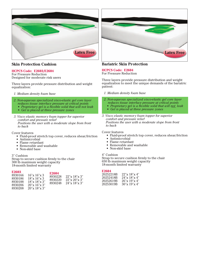



# **Skin Protection Cushion**

# **HCPCS Code: E2603/E2604**

For Pressure Reduction Designed for moderate risk users

Three layers provide pressure distribution and weight equalization:

- *1. Medium density foam base*
- *2. Non-aqueous specialized visco-elastic gel core layer reduces tissue interface pressure at critical points* 
	- *Proprietary gel is a flexible solid that will not leak*
	- *Gel is placed at three pressure zones*

*3. Visco elastic memor y foam topper for superior comfort and pressure relief Positions the user with a moderate slope from front to back*

Cover features

- Fluid-proof stretch top cover, reduces shear/friction
- Antimicrobial
- Flame retardant
- Removable and washable
- Non-skid base

3" Cushion

Strap to secure cushion firmly to the chair 300 lb maximum weight capacity 18-month limited warranty

# E<sub>2603</sub><br>8930166

### $16"$ x  $16"$ x 3

| 8930228<br>$22$ "x $18$ "x 3"<br>8930220<br>22''x 20''x 3''<br>8930248<br>$24$ "x $18$ "x $3$ " |
|-------------------------------------------------------------------------------------------------|
|                                                                                                 |

**E2604**

# **Bariatric Skin Protection**

# **HCPCS Code: E2604**

For Pressure Reduction

Three layers provide pressure distribution and weight equalization to meet the unique demands of the bariatric patient:

*1. Medium density foam base*

- *2. Non-aqueous specialized visco-elastic gel core layer* 
	- *reduces tissue interface pressure at critical points*
- *Proprietary gel is a flexible solid that will not leak*
- *Gel is placed at three pressure zones*

*3. Visco elastic memor y foam topper for superior comfort and pressure relief Positions the user with a moderate slope from front to back*

#### Cover features

- Fluid-proof stretch top cover, reduces shear/friction
- Antimicrobial
- Flame retardant
- Removable and washable
- Non-skid base

# 4" Cushion

Strap to secure cushion firmly to the chair 650 lb maximum weight capacity 18-month limited warranty

### **E2604**

| 20252218B | $22$ "x 18"x 4" |
|-----------|-----------------|
| 20252418B | 24''x 18''x 4'' |
| 20252619B | 26''x 19''x 4'' |
| 20253019B | 30''x 19''x 4'' |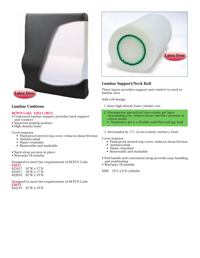

# **Lumbar Cushions**

# **HCPCS Code: E2611-/2612**

- Contoured lumbar support provides back support and comfort
- Improves seating posture
- High density foam

Cover features

- Fluid-proof stretch top cover, reduces shear/friction
- Antimicrobial
- Flame retardant
- Removable and washable
- Back strap secures in place
- Warranty 18 months

Designed to meet the requirements of HCPCS Code:

| E2611  |                      |
|--------|----------------------|
| 821617 | $16''W \times 17''H$ |
| 821817 | $18"W \times 17"H$   |
| 822019 | $20''W \times 19''H$ |

Designed to meet the requirements of HCPCS Code: **E2612**

822219 22"W x 19"H



# **Lumbar Support/Neck Roll**

Three layers provides support and comfort to neck or lumbar area

Jelly roll design:

- *1. Inner high density foam cylinder core*
- *2. Non-aqueous specialized visco-elastic gel layer surrounding core, reduces tissue interface pressure at critical points* 
	- *Proprietary gel is a flexible solid that will not leak*
- *3. Surrounded by 1.5" of visco-elastic memor y foam*

Cover features

- Fluid-proof stretch top cover, reduces shear/friction
- Antimicrobial
- Flame retardant
- Removable and washable
- End handle and convenient strap pr ovide easy handling and positioning
- Warranty 18 months

8200 16"L x 6"D cylinder